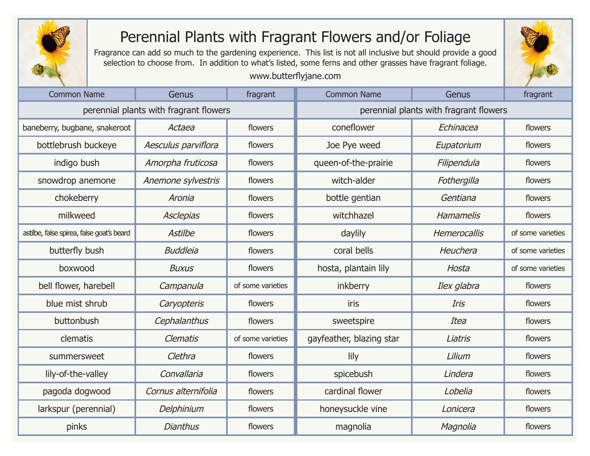

## Perennial Plants with Fragrant Flowers and/or Foliage

Fragrance can add so much to the gardening experience. This list is not all inclusive but should provide a good selection to choose from. In addition to what's listed, some ferns and other grasses have fragrant foliage.

## www.butterflyjane.com

| <b>Common Name</b>                        | Genus               | fragrant          | <b>Common Name</b>                     | Genus        | fragrant          |
|-------------------------------------------|---------------------|-------------------|----------------------------------------|--------------|-------------------|
| perennial plants with fragrant flowers    |                     |                   | perennial plants with fragrant flowers |              |                   |
| baneberry, bugbane, snakeroot             | Actaea              | flowers           | coneflower                             | Echinacea    | flowers           |
| bottlebrush buckeye                       | Aesculus parviflora | flowers           | Joe Pye weed                           | Eupatorium   | flowers           |
| indigo bush                               | Amorpha fruticosa   | flowers           | queen-of-the-prairie                   | Filipendula  | flowers           |
| snowdrop anemone                          | Anemone sylvestris  | flowers           | witch-alder                            | Fothergilla  | flowers           |
| chokeberry                                | Aronia              | flowers           | bottle gentian                         | Gentiana     | flowers           |
| milkweed                                  | <b>Asclepias</b>    | flowers           | witchhazel                             | Hamamelis    | flowers           |
| astilbe, false spirea, false goat's beard | Astilbe             | flowers           | daylily                                | Hemerocallis | of some varieties |
| butterfly bush                            | <b>Buddleia</b>     | flowers           | coral bells                            | Heuchera     | of some varieties |
| boxwood                                   | <b>Buxus</b>        | flowers           | hosta, plantain lily                   | Hosta        | of some varieties |
| bell flower, harebell                     | Campanula           | of some varieties | inkberry                               | Ilex glabra  | flowers           |
| blue mist shrub                           | Caryopteris         | flowers           | iris                                   | Iris         | flowers           |
| buttonbush                                | Cephalanthus        | flowers           | sweetspire                             | Itea         | flowers           |
| clematis                                  | <b>Clematis</b>     | of some varieties | gayfeather, blazing star               | Liatris      | flowers           |
| summersweet                               | Clethra             | flowers           | lily                                   | Lilium       | flowers           |
| lily-of-the-valley                        | Convallaria         | flowers           | spicebush                              | Lindera      | flowers           |
| pagoda dogwood                            | Cornus alternifolia | flowers           | cardinal flower                        | Lobelia      | flowers           |
| larkspur (perennial)                      | Delphinium          | flowers           | honeysuckle vine                       | Lonicera     | flowers           |
| pinks                                     | <b>Dianthus</b>     | flowers           | magnolia                               | Magnolia     | flowers           |